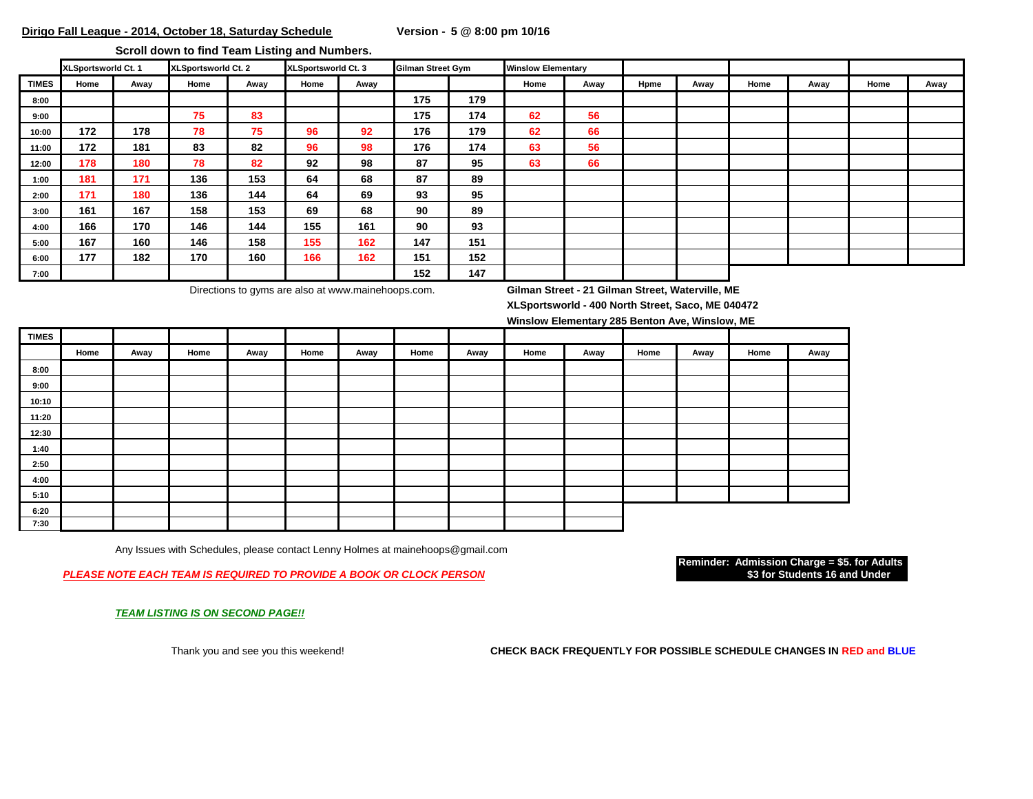**Scroll down to find Team Listing and Numbers.** 

|              | XLSportsworld Ct. 1 |      | XLSportsworld Ct. 2 |      | XLSportsworld Ct. 3 |      | Gilman Street Gym |     | <b>Winslow Elementary</b> |      |      |      |      |      |      |      |
|--------------|---------------------|------|---------------------|------|---------------------|------|-------------------|-----|---------------------------|------|------|------|------|------|------|------|
| <b>TIMES</b> | Home                | Away | Home                | Away | Home                | Away |                   |     | Home                      | Away | Hpme | Away | Home | Away | Home | Away |
| 8:00         |                     |      |                     |      |                     |      | 175               | 179 |                           |      |      |      |      |      |      |      |
| 9:00         |                     |      | 75                  | 83   |                     |      | 175               | 174 | 62                        | 56   |      |      |      |      |      |      |
| 10:00        | 172                 | 178  | 78                  | 75   | 96                  | 92   | 176               | 179 | 62                        | 66   |      |      |      |      |      |      |
| 11:00        | 172                 | 181  | 83                  | 82   | 96                  | 98   | 176               | 174 | 63                        | 56   |      |      |      |      |      |      |
| 12:00        | 178                 | 180  | 78                  | 82   | 92                  | 98   | 87                | 95  | 63                        | 66   |      |      |      |      |      |      |
| 1:00         | 181                 | 171  | 136                 | 153  | 64                  | 68   | 87                | 89  |                           |      |      |      |      |      |      |      |
| 2:00         | 171                 | 180  | 136                 | 144  | 64                  | 69   | 93                | 95  |                           |      |      |      |      |      |      |      |
| 3:00         | 161                 | 167  | 158                 | 153  | 69                  | 68   | 90                | 89  |                           |      |      |      |      |      |      |      |
| 4:00         | 166                 | 170  | 146                 | 144  | 155                 | 161  | 90                | 93  |                           |      |      |      |      |      |      |      |
| 5:00         | 167                 | 160  | 146                 | 158  | 155                 | 162  | 147               | 151 |                           |      |      |      |      |      |      |      |
| 6:00         | 177                 | 182  | 170                 | 160  | 166                 | 162  | 151               | 152 |                           |      |      |      |      |      |      |      |
| 7:00         |                     |      |                     |      |                     |      | 152               | 147 |                           |      |      |      |      |      |      |      |

Directions to gyms are also at www.mainehoops.com. **Gilman Street - 21 Gilman Street, Waterville, ME**

**XLSportsworld - 400 North Street, Saco, ME 040472**

**Winslow Elementary 285 Benton Ave, Winslow, ME**

| <b>TIMES</b> |      |      |      |      |      |      |      |      |      |      |      |      |      |      |
|--------------|------|------|------|------|------|------|------|------|------|------|------|------|------|------|
|              | Home | Away | Home | Away | Home | Away | Home | Away | Home | Away | Home | Away | Home | Away |
| 8:00         |      |      |      |      |      |      |      |      |      |      |      |      |      |      |
| 9:00         |      |      |      |      |      |      |      |      |      |      |      |      |      |      |
| 10:10        |      |      |      |      |      |      |      |      |      |      |      |      |      |      |
| 11:20        |      |      |      |      |      |      |      |      |      |      |      |      |      |      |
| 12:30        |      |      |      |      |      |      |      |      |      |      |      |      |      |      |
| 1:40         |      |      |      |      |      |      |      |      |      |      |      |      |      |      |
| 2:50         |      |      |      |      |      |      |      |      |      |      |      |      |      |      |
| 4:00         |      |      |      |      |      |      |      |      |      |      |      |      |      |      |
| 5:10         |      |      |      |      |      |      |      |      |      |      |      |      |      |      |
| 6:20         |      |      |      |      |      |      |      |      |      |      |      |      |      |      |
| 7:30         |      |      |      |      |      |      |      |      |      |      |      |      |      |      |

Any Issues with Schedules, please contact Lenny Holmes at mainehoops@gmail.com

**PLEASE NOTE EACH TEAM IS REQUIRED TO PROVIDE A BOOK OR CLOCK PERSON** 

**Reminder: Admission Charge = \$5. for Adults**

*TEAM LISTING IS ON SECOND PAGE!!*

Thank you and see you this weekend! **CHECK BACK FREQUENTLY FOR POSSIBLE SCHEDULE CHANGES IN RED and BLUE**